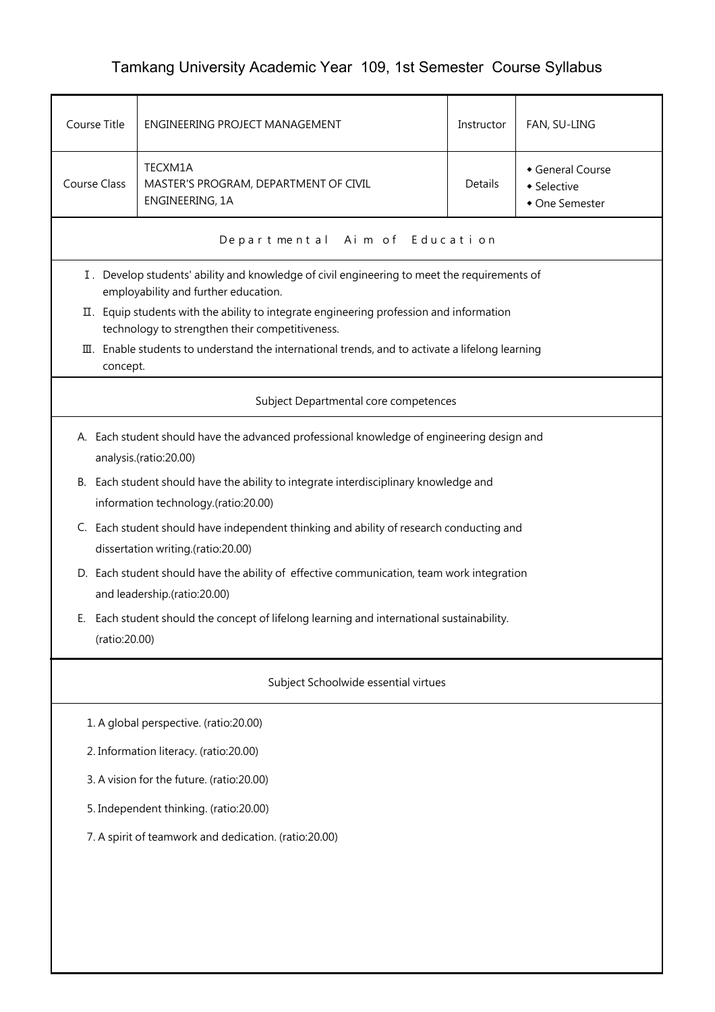## Tamkang University Academic Year 109, 1st Semester Course Syllabus

| Course Title                              | ENGINEERING PROJECT MANAGEMENT                                                                                                             | Instructor | FAN, SU-LING                                    |  |  |  |
|-------------------------------------------|--------------------------------------------------------------------------------------------------------------------------------------------|------------|-------------------------------------------------|--|--|--|
| Course Class                              | TECXM1A<br>MASTER'S PROGRAM, DEPARTMENT OF CIVIL<br>ENGINEERING, 1A                                                                        | Details    | General Course<br>• Selective<br>• One Semester |  |  |  |
|                                           | Departmental Aim of Education                                                                                                              |            |                                                 |  |  |  |
|                                           | I . Develop students' ability and knowledge of civil engineering to meet the requirements of<br>employability and further education.       |            |                                                 |  |  |  |
|                                           | II. Equip students with the ability to integrate engineering profession and information<br>technology to strengthen their competitiveness. |            |                                                 |  |  |  |
|                                           | III. Enable students to understand the international trends, and to activate a lifelong learning<br>concept.                               |            |                                                 |  |  |  |
|                                           | Subject Departmental core competences                                                                                                      |            |                                                 |  |  |  |
|                                           | A. Each student should have the advanced professional knowledge of engineering design and<br>analysis.(ratio:20.00)                        |            |                                                 |  |  |  |
|                                           | B. Each student should have the ability to integrate interdisciplinary knowledge and<br>information technology.(ratio:20.00)               |            |                                                 |  |  |  |
|                                           | C. Each student should have independent thinking and ability of research conducting and<br>dissertation writing.(ratio:20.00)              |            |                                                 |  |  |  |
|                                           | D. Each student should have the ability of effective communication, team work integration<br>and leadership.(ratio:20.00)                  |            |                                                 |  |  |  |
| Е.                                        | Each student should the concept of lifelong learning and international sustainability.<br>(ratio:20.00)                                    |            |                                                 |  |  |  |
| Subject Schoolwide essential virtues      |                                                                                                                                            |            |                                                 |  |  |  |
| 1. A global perspective. (ratio:20.00)    |                                                                                                                                            |            |                                                 |  |  |  |
| 2. Information literacy. (ratio:20.00)    |                                                                                                                                            |            |                                                 |  |  |  |
| 3. A vision for the future. (ratio:20.00) |                                                                                                                                            |            |                                                 |  |  |  |
| 5. Independent thinking. (ratio:20.00)    |                                                                                                                                            |            |                                                 |  |  |  |
|                                           | 7. A spirit of teamwork and dedication. (ratio:20.00)                                                                                      |            |                                                 |  |  |  |
|                                           |                                                                                                                                            |            |                                                 |  |  |  |
|                                           |                                                                                                                                            |            |                                                 |  |  |  |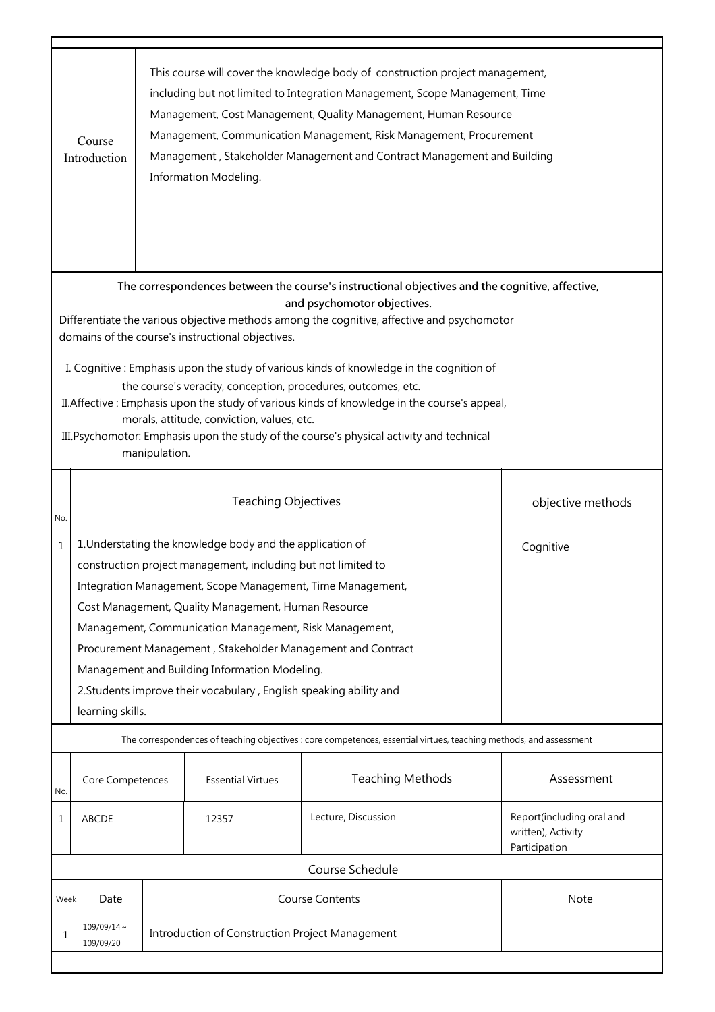|                                                                                                                                                                                                                                                                                                                                                                                                                                                                                                                                                                                                                                                                                                           | This course will cover the knowledge body of construction project management,<br>including but not limited to Integration Management, Scope Management, Time<br>Management, Cost Management, Quality Management, Human Resource<br>Management, Communication Management, Risk Management, Procurement<br>Course<br>Management, Stakeholder Management and Contract Management and Building<br>Introduction<br>Information Modeling.                                                                                              |                        |                                                 |                         |                                                                  |  |  |
|-----------------------------------------------------------------------------------------------------------------------------------------------------------------------------------------------------------------------------------------------------------------------------------------------------------------------------------------------------------------------------------------------------------------------------------------------------------------------------------------------------------------------------------------------------------------------------------------------------------------------------------------------------------------------------------------------------------|----------------------------------------------------------------------------------------------------------------------------------------------------------------------------------------------------------------------------------------------------------------------------------------------------------------------------------------------------------------------------------------------------------------------------------------------------------------------------------------------------------------------------------|------------------------|-------------------------------------------------|-------------------------|------------------------------------------------------------------|--|--|
| The correspondences between the course's instructional objectives and the cognitive, affective,<br>and psychomotor objectives.<br>Differentiate the various objective methods among the cognitive, affective and psychomotor<br>domains of the course's instructional objectives.<br>I. Cognitive: Emphasis upon the study of various kinds of knowledge in the cognition of<br>the course's veracity, conception, procedures, outcomes, etc.<br>II. Affective: Emphasis upon the study of various kinds of knowledge in the course's appeal,<br>morals, attitude, conviction, values, etc.<br>III. Psychomotor: Emphasis upon the study of the course's physical activity and technical<br>manipulation. |                                                                                                                                                                                                                                                                                                                                                                                                                                                                                                                                  |                        |                                                 |                         |                                                                  |  |  |
| No.                                                                                                                                                                                                                                                                                                                                                                                                                                                                                                                                                                                                                                                                                                       |                                                                                                                                                                                                                                                                                                                                                                                                                                                                                                                                  |                        | <b>Teaching Objectives</b>                      |                         | objective methods                                                |  |  |
| $\mathbf{1}$                                                                                                                                                                                                                                                                                                                                                                                                                                                                                                                                                                                                                                                                                              | 1. Understating the knowledge body and the application of<br>Cognitive<br>construction project management, including but not limited to<br>Integration Management, Scope Management, Time Management,<br>Cost Management, Quality Management, Human Resource<br>Management, Communication Management, Risk Management,<br>Procurement Management, Stakeholder Management and Contract<br>Management and Building Information Modeling.<br>2. Students improve their vocabulary, English speaking ability and<br>learning skills. |                        |                                                 |                         |                                                                  |  |  |
|                                                                                                                                                                                                                                                                                                                                                                                                                                                                                                                                                                                                                                                                                                           | The correspondences of teaching objectives : core competences, essential virtues, teaching methods, and assessment                                                                                                                                                                                                                                                                                                                                                                                                               |                        |                                                 |                         |                                                                  |  |  |
| No.                                                                                                                                                                                                                                                                                                                                                                                                                                                                                                                                                                                                                                                                                                       | Core Competences                                                                                                                                                                                                                                                                                                                                                                                                                                                                                                                 |                        | <b>Essential Virtues</b>                        | <b>Teaching Methods</b> | Assessment                                                       |  |  |
| 1                                                                                                                                                                                                                                                                                                                                                                                                                                                                                                                                                                                                                                                                                                         | ABCDE                                                                                                                                                                                                                                                                                                                                                                                                                                                                                                                            |                        | 12357                                           | Lecture, Discussion     | Report(including oral and<br>written), Activity<br>Participation |  |  |
|                                                                                                                                                                                                                                                                                                                                                                                                                                                                                                                                                                                                                                                                                                           | Course Schedule                                                                                                                                                                                                                                                                                                                                                                                                                                                                                                                  |                        |                                                 |                         |                                                                  |  |  |
| Week                                                                                                                                                                                                                                                                                                                                                                                                                                                                                                                                                                                                                                                                                                      | Date                                                                                                                                                                                                                                                                                                                                                                                                                                                                                                                             | <b>Course Contents</b> |                                                 | Note                    |                                                                  |  |  |
| 1                                                                                                                                                                                                                                                                                                                                                                                                                                                                                                                                                                                                                                                                                                         | $109/09/14$ ~<br>109/09/20                                                                                                                                                                                                                                                                                                                                                                                                                                                                                                       |                        | Introduction of Construction Project Management |                         |                                                                  |  |  |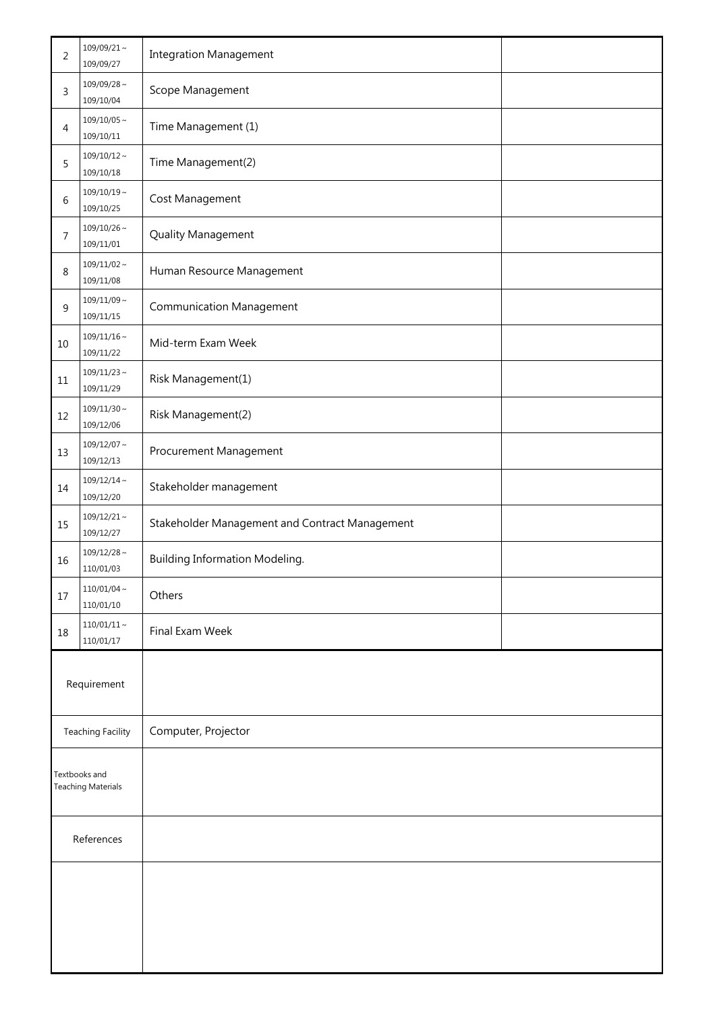| $\overline{2}$                             | $109/09/21 \sim$<br>109/09/27                           | <b>Integration Management</b>                  |  |
|--------------------------------------------|---------------------------------------------------------|------------------------------------------------|--|
| 3                                          | $109/09/28 \sim$<br>109/10/04                           | Scope Management                               |  |
| 4                                          | $109/10/05 \sim$<br>109/10/11                           | Time Management (1)                            |  |
| 5                                          | $109/10/12 \sim$<br>109/10/18                           | Time Management(2)                             |  |
| 6                                          | $109/10/19 \sim$<br>109/10/25                           | Cost Management                                |  |
| 7                                          | $109/10/26 \sim$<br>109/11/01                           | Quality Management                             |  |
| 8                                          | $109/11/02 \sim$<br>109/11/08                           | Human Resource Management                      |  |
| 9                                          | $109/11/09 \sim$<br>109/11/15                           | <b>Communication Management</b>                |  |
| 10                                         | $109/11/16 \sim$<br>109/11/22                           | Mid-term Exam Week                             |  |
| 11                                         | $109/11/23$ ~<br>109/11/29                              | Risk Management(1)                             |  |
| 12                                         | $109/11/30 \sim$<br>109/12/06                           | Risk Management(2)                             |  |
| 13                                         | $109/12/07 \sim$<br>109/12/13                           | Procurement Management                         |  |
| 14                                         | $109/12/14 \sim$<br>Stakeholder management<br>109/12/20 |                                                |  |
| 15                                         | $109/12/21$ ~<br>109/12/27                              | Stakeholder Management and Contract Management |  |
| 16                                         | $109/12/28 \sim$<br>110/01/03                           | <b>Building Information Modeling.</b>          |  |
| 17                                         | $110/01/04 \sim$<br>110/01/10                           | Others                                         |  |
| 18                                         | $110/01/11 \sim$<br>110/01/17                           | Final Exam Week                                |  |
| Requirement                                |                                                         |                                                |  |
| <b>Teaching Facility</b>                   |                                                         | Computer, Projector                            |  |
| Textbooks and<br><b>Teaching Materials</b> |                                                         |                                                |  |
| References                                 |                                                         |                                                |  |
|                                            |                                                         |                                                |  |
|                                            |                                                         |                                                |  |
|                                            |                                                         |                                                |  |
|                                            |                                                         |                                                |  |